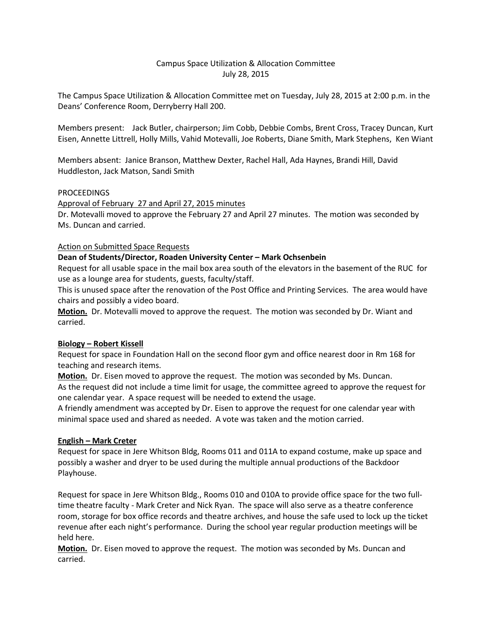# Campus Space Utilization & Allocation Committee July 28, 2015

The Campus Space Utilization & Allocation Committee met on Tuesday, July 28, 2015 at 2:00 p.m. in the Deans' Conference Room, Derryberry Hall 200.

Members present: Jack Butler, chairperson; Jim Cobb, Debbie Combs, Brent Cross, Tracey Duncan, Kurt Eisen, Annette Littrell, Holly Mills, Vahid Motevalli, Joe Roberts, Diane Smith, Mark Stephens, Ken Wiant

Members absent: Janice Branson, Matthew Dexter, Rachel Hall, Ada Haynes, Brandi Hill, David Huddleston, Jack Matson, Sandi Smith

## PROCEEDINGS

Approval of February 27 and April 27, 2015 minutes Dr. Motevalli moved to approve the February 27 and April 27 minutes. The motion was seconded by Ms. Duncan and carried.

## Action on Submitted Space Requests

## **Dean of Students/Director, Roaden University Center – Mark Ochsenbein**

Request for all usable space in the mail box area south of the elevators in the basement of the RUC for use as a lounge area for students, guests, faculty/staff.

This is unused space after the renovation of the Post Office and Printing Services. The area would have chairs and possibly a video board.

**Motion.** Dr. Motevalli moved to approve the request. The motion was seconded by Dr. Wiant and carried.

#### **Biology – Robert Kissell**

Request for space in Foundation Hall on the second floor gym and office nearest door in Rm 168 for teaching and research items.

**Motion.** Dr. Eisen moved to approve the request. The motion was seconded by Ms. Duncan. As the request did not include a time limit for usage, the committee agreed to approve the request for one calendar year. A space request will be needed to extend the usage.

A friendly amendment was accepted by Dr. Eisen to approve the request for one calendar year with minimal space used and shared as needed. A vote was taken and the motion carried.

#### **English – Mark Creter**

Request for space in Jere Whitson Bldg, Rooms 011 and 011A to expand costume, make up space and possibly a washer and dryer to be used during the multiple annual productions of the Backdoor Playhouse.

Request for space in Jere Whitson Bldg., Rooms 010 and 010A to provide office space for the two fulltime theatre faculty - Mark Creter and Nick Ryan. The space will also serve as a theatre conference room, storage for box office records and theatre archives, and house the safe used to lock up the ticket revenue after each night's performance. During the school year regular production meetings will be held here.

**Motion.** Dr. Eisen moved to approve the request. The motion was seconded by Ms. Duncan and carried.